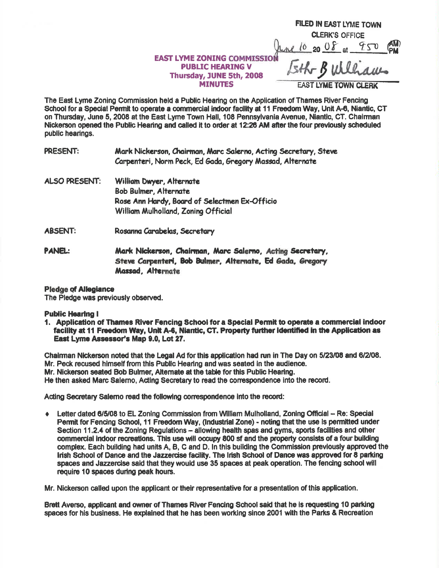|                                                               | FILED IN EAST LYME TOWN                   |
|---------------------------------------------------------------|-------------------------------------------|
|                                                               | <b>CLERK'S OFFICE</b>                     |
|                                                               | $\binom{AM}{PM}$<br>20 0 $\delta$ at 9.50 |
| <b>EAST LYME ZONING COMMISSION</b><br><b>PUBLIC HEARING V</b> | Lith Bullaces                             |
| Thursday, JUNE 5th, 2008                                      |                                           |
| <b>MINUTES</b>                                                | <b>EAST LYME TOWN CLERK</b>               |

The East Lyme Zoning Commission held a Public Hearing on the Application of Thames River Fencing School for a Special Permit to operate a commercial indoor facility at 11 Freedom Way, Unit A-6, Niantic, CT on Thursday, June 5, 2008 at the East Lyme Town Hall, 108 Pennsylvania Avenue, Niantic, CT. Chairman Nickerson opened the Public Hearing and called it to order at 12:26 AM after the four previously scheduled public hearings.

**PRESENT:** Mark Nickerson, Chairman, Marc Salerno, Acting Secretary, Steve Carpenteri, Norm Peck, Ed Gada, Gregory Massad, Alternate

- **ALSO PRESENT:** William Dwyer, Alternate **Bob Bulmer, Alternate** Rose Ann Hardy, Board of Selectmen Ex-Officio William Mulholland, Zoning Official
- **ABSENT:** Rosanna Carabelas, Secretary
- PANEL: Mark Nickerson, Chairman, Marc Salerno, Acting Secretary, Steve Carpenteri, Bob Bulmer, Alternate, Ed Gada, Gregory Massad, Alternate

## **Pledge of Allegiance**

The Pledge was previously observed.

## **Public Hearing I**

1. Application of Thames River Fencing School for a Special Permit to operate a commercial indoor facility at 11 Freedom Way, Unit A-6, Niantic, CT. Property further identified in the Application as East Lyme Assessor's Map 9.0, Lot 27.

Chairman Nickerson noted that the Legal Ad for this application had run in The Day on 5/23/08 and 6/2/08. Mr. Peck recused himself from this Public Hearing and was seated in the audience. Mr. Nickerson seated Bob Bulmer, Altemate at the table for this Public Hearing. He then asked Marc Salerno, Acting Secretary to read the correspondence into the record.

Acting Secretary Salemo read the following correspondence into the record:

Letter dated 6/5/08 to EL Zoning Commission from William Mulholland, Zoning Official - Re: Special Permit for Fencing School, 11 Freedom Way, (Industrial Zone) - noting that the use is permitted under Section 11.2.4 of the Zoning Regulations - allowing health spas and gyms, sports facilities and other commercial indoor recreations. This use will occupy 800 sf and the property consists of a four building complex. Each building had units A, B, C and D. In this building the Commission previously approved the Irish School of Dance and the Jazzercise facility. The Irish School of Dance was approved for 8 parking spaces and Jazzercise said that they would use 35 spaces at peak operation. The fencing school will require 10 spaces during peak hours.

Mr. Nickerson called upon the applicant or their representative for a presentation of this application.

Brett Averso, applicant and owner of Thames River Fencing School said that he is requesting 10 parking spaces for his business. He explained that he has been working since 2001 with the Parks & Recreation